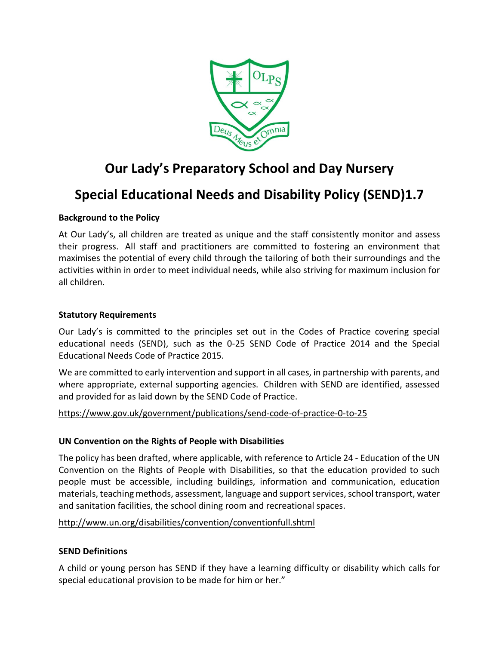

# **Our Lady's Preparatory School and Day Nursery**

# **Special Educational Needs and Disability Policy (SEND)1.7**

# **Background to the Policy**

At Our Lady's, all children are treated as unique and the staff consistently monitor and assess their progress. All staff and practitioners are committed to fostering an environment that maximises the potential of every child through the tailoring of both their surroundings and the activities within in order to meet individual needs, while also striving for maximum inclusion for all children.

#### **Statutory Requirements**

Our Lady's is committed to the principles set out in the Codes of Practice covering special educational needs (SEND), such as the 0-25 SEND Code of Practice 2014 and the Special Educational Needs Code of Practice 2015.

We are committed to early intervention and support in all cases, in partnership with parents, and where appropriate, external supporting agencies. Children with SEND are identified, assessed and provided for as laid down by the SEND Code of Practice.

# <https://www.gov.uk/government/publications/send-code-of-practice-0-to-25>

# **UN Convention on the Rights of People with Disabilities**

The policy has been drafted, where applicable, with reference to Article 24 - Education of the UN Convention on the Rights of People with Disabilities, so that the education provided to such people must be accessible, including buildings, information and communication, education materials, teaching methods, assessment, language and support services, school transport, water and sanitation facilities, the school dining room and recreational spaces.

#### <http://www.un.org/disabilities/convention/conventionfull.shtml>

# **SEND Definitions**

A child or young person has SEND if they have a learning difficulty or disability which calls for special educational provision to be made for him or her."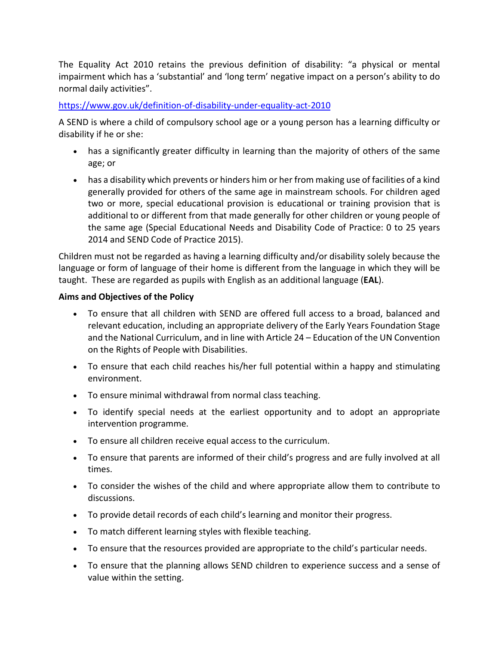The Equality Act 2010 retains the previous definition of disability: "a physical or mental impairment which has a 'substantial' and 'long term' negative impact on a person's ability to do normal daily activities".

#### <https://www.gov.uk/definition-of-disability-under-equality-act-2010>

A SEND is where a child of compulsory school age or a young person has a learning difficulty or disability if he or she:

- has a significantly greater difficulty in learning than the majority of others of the same age; or
- has a disability which prevents or hinders him or her from making use of facilities of a kind generally provided for others of the same age in mainstream schools. For children aged two or more, special educational provision is educational or training provision that is additional to or different from that made generally for other children or young people of the same age (Special Educational Needs and Disability Code of Practice: 0 to 25 years 2014 and SEND Code of Practice 2015).

Children must not be regarded as having a learning difficulty and/or disability solely because the language or form of language of their home is different from the language in which they will be taught. These are regarded as pupils with English as an additional language (**EAL**).

#### **Aims and Objectives of the Policy**

- To ensure that all children with SEND are offered full access to a broad, balanced and relevant education, including an appropriate delivery of the Early Years Foundation Stage and the National Curriculum, and in line with Article 24 – Education of the UN Convention on the Rights of People with Disabilities.
- To ensure that each child reaches his/her full potential within a happy and stimulating environment.
- To ensure minimal withdrawal from normal class teaching.
- To identify special needs at the earliest opportunity and to adopt an appropriate intervention programme.
- To ensure all children receive equal access to the curriculum.
- To ensure that parents are informed of their child's progress and are fully involved at all times.
- To consider the wishes of the child and where appropriate allow them to contribute to discussions.
- To provide detail records of each child's learning and monitor their progress.
- To match different learning styles with flexible teaching.
- To ensure that the resources provided are appropriate to the child's particular needs.
- To ensure that the planning allows SEND children to experience success and a sense of value within the setting.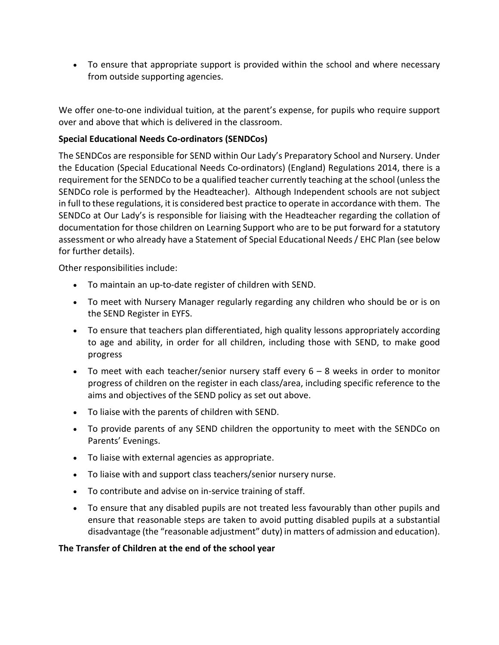• To ensure that appropriate support is provided within the school and where necessary from outside supporting agencies.

We offer one-to-one individual tuition, at the parent's expense, for pupils who require support over and above that which is delivered in the classroom.

# **Special Educational Needs Co-ordinators (SENDCos)**

The SENDCos are responsible for SEND within Our Lady's Preparatory School and Nursery. Under the Education (Special Educational Needs Co-ordinators) (England) Regulations 2014, there is a requirement for the SENDCo to be a qualified teacher currently teaching at the school (unless the SENDCo role is performed by the Headteacher). Although Independent schools are not subject in full to these regulations, it is considered best practice to operate in accordance with them. The SENDCo at Our Lady's is responsible for liaising with the Headteacher regarding the collation of documentation for those children on Learning Support who are to be put forward for a statutory assessment or who already have a Statement of Special Educational Needs / EHC Plan (see below for further details).

Other responsibilities include:

- To maintain an up-to-date register of children with SEND.
- To meet with Nursery Manager regularly regarding any children who should be or is on the SEND Register in EYFS.
- To ensure that teachers plan differentiated, high quality lessons appropriately according to age and ability, in order for all children, including those with SEND, to make good progress
- To meet with each teacher/senior nursery staff every  $6 8$  weeks in order to monitor progress of children on the register in each class/area, including specific reference to the aims and objectives of the SEND policy as set out above.
- To liaise with the parents of children with SEND.
- To provide parents of any SEND children the opportunity to meet with the SENDCo on Parents' Evenings.
- To liaise with external agencies as appropriate.
- To liaise with and support class teachers/senior nursery nurse.
- To contribute and advise on in-service training of staff.
- To ensure that any disabled pupils are not treated less favourably than other pupils and ensure that reasonable steps are taken to avoid putting disabled pupils at a substantial disadvantage (the "reasonable adjustment" duty) in matters of admission and education).

# **The Transfer of Children at the end of the school year**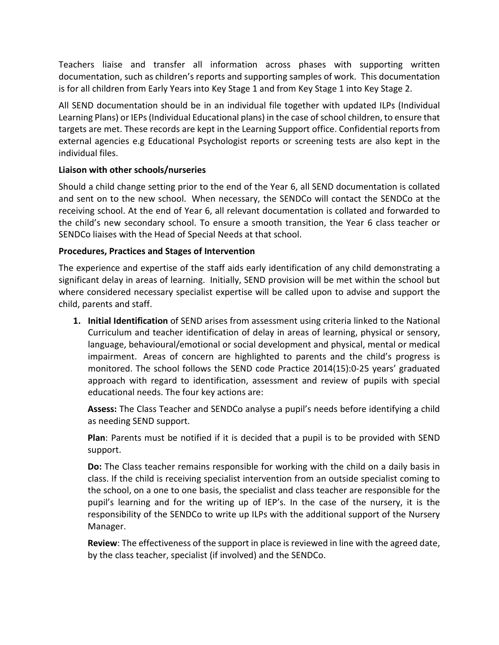Teachers liaise and transfer all information across phases with supporting written documentation, such as children's reports and supporting samples of work. This documentation is for all children from Early Years into Key Stage 1 and from Key Stage 1 into Key Stage 2.

All SEND documentation should be in an individual file together with updated ILPs (Individual Learning Plans) or IEPs (Individual Educational plans) in the case of school children, to ensure that targets are met. These records are kept in the Learning Support office. Confidential reports from external agencies e.g Educational Psychologist reports or screening tests are also kept in the individual files.

# **Liaison with other schools/nurseries**

Should a child change setting prior to the end of the Year 6, all SEND documentation is collated and sent on to the new school. When necessary, the SENDCo will contact the SENDCo at the receiving school. At the end of Year 6, all relevant documentation is collated and forwarded to the child's new secondary school. To ensure a smooth transition, the Year 6 class teacher or SENDCo liaises with the Head of Special Needs at that school.

#### **Procedures, Practices and Stages of Intervention**

The experience and expertise of the staff aids early identification of any child demonstrating a significant delay in areas of learning. Initially, SEND provision will be met within the school but where considered necessary specialist expertise will be called upon to advise and support the child, parents and staff.

**1. Initial Identification** of SEND arises from assessment using criteria linked to the National Curriculum and teacher identification of delay in areas of learning, physical or sensory, language, behavioural/emotional or social development and physical, mental or medical impairment. Areas of concern are highlighted to parents and the child's progress is monitored. The school follows the SEND code Practice 2014(15):0-25 years' graduated approach with regard to identification, assessment and review of pupils with special educational needs. The four key actions are:

**Assess:** The Class Teacher and SENDCo analyse a pupil's needs before identifying a child as needing SEND support.

**Plan**: Parents must be notified if it is decided that a pupil is to be provided with SEND support.

**Do:** The Class teacher remains responsible for working with the child on a daily basis in class. If the child is receiving specialist intervention from an outside specialist coming to the school, on a one to one basis, the specialist and class teacher are responsible for the pupil's learning and for the writing up of IEP's. In the case of the nursery, it is the responsibility of the SENDCo to write up ILPs with the additional support of the Nursery Manager.

**Review**: The effectiveness of the support in place is reviewed in line with the agreed date, by the class teacher, specialist (if involved) and the SENDCo.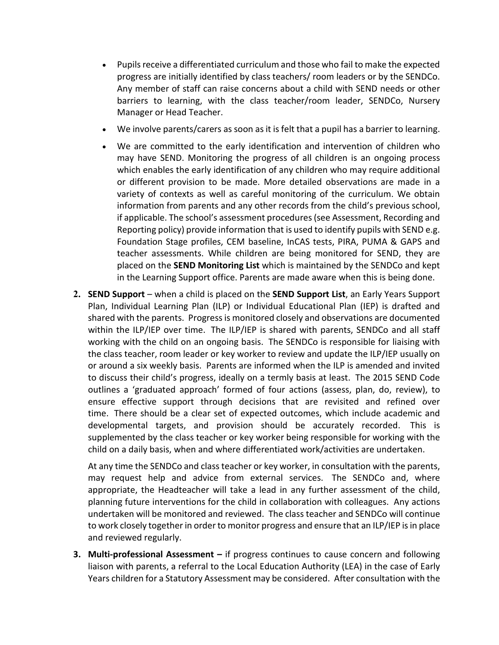- Pupils receive a differentiated curriculum and those who fail to make the expected progress are initially identified by class teachers/ room leaders or by the SENDCo. Any member of staff can raise concerns about a child with SEND needs or other barriers to learning, with the class teacher/room leader, SENDCo, Nursery Manager or Head Teacher.
- We involve parents/carers as soon as it is felt that a pupil has a barrier to learning.
- We are committed to the early identification and intervention of children who may have SEND. Monitoring the progress of all children is an ongoing process which enables the early identification of any children who may require additional or different provision to be made. More detailed observations are made in a variety of contexts as well as careful monitoring of the curriculum. We obtain information from parents and any other records from the child's previous school, if applicable. The school's assessment procedures (see Assessment, Recording and Reporting policy) provide information that is used to identify pupils with SEND e.g. Foundation Stage profiles, CEM baseline, InCAS tests, PIRA, PUMA & GAPS and teacher assessments. While children are being monitored for SEND, they are placed on the **SEND Monitoring List** which is maintained by the SENDCo and kept in the Learning Support office. Parents are made aware when this is being done.
- **2. SEND Support** when a child is placed on the **SEND Support List**, an Early Years Support Plan, Individual Learning Plan (ILP) or Individual Educational Plan (IEP) is drafted and shared with the parents. Progress is monitored closely and observations are documented within the ILP/IEP over time. The ILP/IEP is shared with parents, SENDCo and all staff working with the child on an ongoing basis. The SENDCo is responsible for liaising with the class teacher, room leader or key worker to review and update the ILP/IEP usually on or around a six weekly basis. Parents are informed when the ILP is amended and invited to discuss their child's progress, ideally on a termly basis at least. The 2015 SEND Code outlines a 'graduated approach' formed of four actions (assess, plan, do, review), to ensure effective support through decisions that are revisited and refined over time. There should be a clear set of expected outcomes, which include academic and developmental targets, and provision should be accurately recorded. This is supplemented by the class teacher or key worker being responsible for working with the child on a daily basis, when and where differentiated work/activities are undertaken.

At any time the SENDCo and class teacher or key worker, in consultation with the parents, may request help and advice from external services. The SENDCo and, where appropriate, the Headteacher will take a lead in any further assessment of the child, planning future interventions for the child in collaboration with colleagues. Any actions undertaken will be monitored and reviewed. The class teacher and SENDCo will continue to work closely together in order to monitor progress and ensure that an ILP/IEP is in place and reviewed regularly.

**3. Multi-professional Assessment –** if progress continues to cause concern and following liaison with parents, a referral to the Local Education Authority (LEA) in the case of Early Years children for a Statutory Assessment may be considered. After consultation with the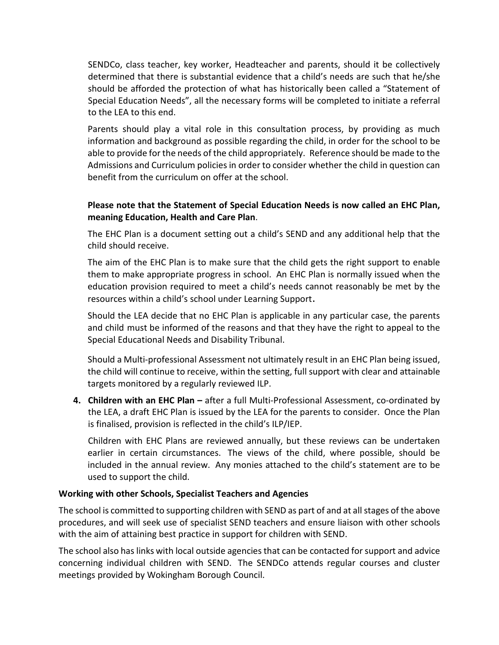SENDCo, class teacher, key worker, Headteacher and parents, should it be collectively determined that there is substantial evidence that a child's needs are such that he/she should be afforded the protection of what has historically been called a "Statement of Special Education Needs", all the necessary forms will be completed to initiate a referral to the LEA to this end.

Parents should play a vital role in this consultation process, by providing as much information and background as possible regarding the child, in order for the school to be able to provide for the needs of the child appropriately. Reference should be made to the Admissions and Curriculum policies in order to consider whether the child in question can benefit from the curriculum on offer at the school.

# **Please note that the Statement of Special Education Needs is now called an EHC Plan, meaning Education, Health and Care Plan**.

The EHC Plan is a document setting out a child's SEND and any additional help that the child should receive.

The aim of the EHC Plan is to make sure that the child gets the right support to enable them to make appropriate progress in school. An EHC Plan is normally issued when the education provision required to meet a child's needs cannot reasonably be met by the resources within a child's school under Learning Support.

Should the LEA decide that no EHC Plan is applicable in any particular case, the parents and child must be informed of the reasons and that they have the right to appeal to the Special Educational Needs and Disability Tribunal.

Should a Multi-professional Assessment not ultimately result in an EHC Plan being issued, the child will continue to receive, within the setting, full support with clear and attainable targets monitored by a regularly reviewed ILP.

**4. Children with an EHC Plan –** after a full Multi-Professional Assessment, co-ordinated by the LEA, a draft EHC Plan is issued by the LEA for the parents to consider. Once the Plan is finalised, provision is reflected in the child's ILP/IEP.

Children with EHC Plans are reviewed annually, but these reviews can be undertaken earlier in certain circumstances. The views of the child, where possible, should be included in the annual review. Any monies attached to the child's statement are to be used to support the child.

# **Working with other Schools, Specialist Teachers and Agencies**

The school is committed to supporting children with SEND as part of and at all stages of the above procedures, and will seek use of specialist SEND teachers and ensure liaison with other schools with the aim of attaining best practice in support for children with SEND.

The school also has links with local outside agencies that can be contacted for support and advice concerning individual children with SEND. The SENDCo attends regular courses and cluster meetings provided by Wokingham Borough Council.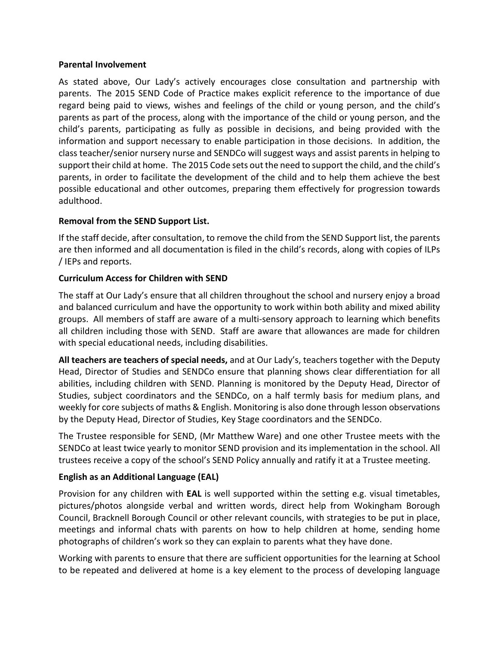#### **Parental Involvement**

As stated above, Our Lady's actively encourages close consultation and partnership with parents. The 2015 SEND Code of Practice makes explicit reference to the importance of due regard being paid to views, wishes and feelings of the child or young person, and the child's parents as part of the process, along with the importance of the child or young person, and the child's parents, participating as fully as possible in decisions, and being provided with the information and support necessary to enable participation in those decisions. In addition, the class teacher/senior nursery nurse and SENDCo will suggest ways and assist parents in helping to support their child at home. The 2015 Code sets out the need to support the child, and the child's parents, in order to facilitate the development of the child and to help them achieve the best possible educational and other outcomes, preparing them effectively for progression towards adulthood.

#### **Removal from the SEND Support List.**

If the staff decide, after consultation, to remove the child from the SEND Support list, the parents are then informed and all documentation is filed in the child's records, along with copies of ILPs / IEPs and reports.

#### **Curriculum Access for Children with SEND**

The staff at Our Lady's ensure that all children throughout the school and nursery enjoy a broad and balanced curriculum and have the opportunity to work within both ability and mixed ability groups. All members of staff are aware of a multi-sensory approach to learning which benefits all children including those with SEND. Staff are aware that allowances are made for children with special educational needs, including disabilities.

**All teachers are teachers of special needs,** and at Our Lady's, teachers together with the Deputy Head, Director of Studies and SENDCo ensure that planning shows clear differentiation for all abilities, including children with SEND. Planning is monitored by the Deputy Head, Director of Studies, subject coordinators and the SENDCo, on a half termly basis for medium plans, and weekly for core subjects of maths & English. Monitoring is also done through lesson observations by the Deputy Head, Director of Studies, Key Stage coordinators and the SENDCo.

The Trustee responsible for SEND, (Mr Matthew Ware) and one other Trustee meets with the SENDCo at least twice yearly to monitor SEND provision and its implementation in the school. All trustees receive a copy of the school's SEND Policy annually and ratify it at a Trustee meeting.

# **English as an Additional Language (EAL)**

Provision for any children with **EAL** is well supported within the setting e.g. visual timetables, pictures/photos alongside verbal and written words, direct help from Wokingham Borough Council, Bracknell Borough Council or other relevant councils, with strategies to be put in place, meetings and informal chats with parents on how to help children at home, sending home photographs of children's work so they can explain to parents what they have done.

Working with parents to ensure that there are sufficient opportunities for the learning at School to be repeated and delivered at home is a key element to the process of developing language